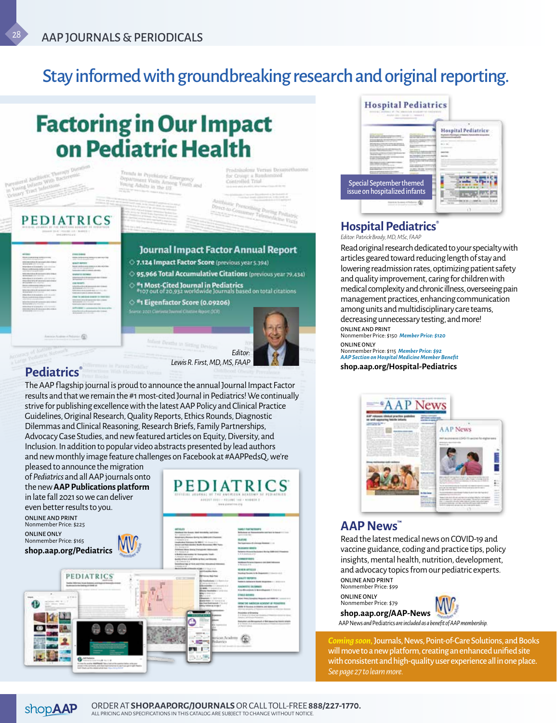## Stay informed with groundbreaking research and original reporting.

# **Factoring in Our Impact** on Pediatric Health



results and that we remain the #1 most-cited Journal in Pediatrics! We continually strive for publishing excellence with the latest AAP Policy and Clinical Practice Guidelines, Original Research, Quality Reports, Ethics Rounds, Diagnostic Dilemmas and Clinical Reasoning, Research Briefs, Family Partnerships, Advocacy Case Studies, and new featured articles on Equity, Diversity, and Inclusion. In addition to popular video abstracts presented by lead authors and new monthly image feature challenges on Facebook at #AAPPedsQ, we're

pleased to announce the migration of *Pediatrics* and all AAP journals onto the new **AAP Publications platform** in late fall 2021 so we can deliver

**PEDIATRICS** 

even better results to you. ONLINE AND PRINT

Nonmember Price: \$225 ONLINE ONLY Nonmember Price: \$165

**shop.aap.org/Pediatrics** 

H

A





### **Hospital Pediatrics®**

*Editor: Patrick Brady, MD, MSc, FAAP*

Read original research dedicated to your specialty with articles geared toward reducing length of stay and lowering readmission rates, optimizing patient safety and quality improvement, caring for children with medical complexity and chronic illness, overseeing pain management practices, enhancing communication among units and multidisciplinary care teams, decreasing unnecessary testing, and more! ONLINE AND PRINT

Nonmember Price: \$150 *Member Price: \$120* ONLINE ONLY Nonmember Price: \$115 *Member Price: \$92*

*AAP Section on Hospital Medicine Member Benefit* **shop.aap.org/Hospital-Pediatrics**



### **AAP News™**

Read the latest medical news on COVID-19 and vaccine guidance, coding and practice tips, policy insights, mental health, nutrition, development, and advocacy topics from our pediatric experts. ONLINE AND PRINT Nonmember Price: \$99

ONLINE ONLY Nonmember Price: \$79



AAP News *and* Pediatrics *are included as a benefit of AAP membership.* **shop.aap.org/AAP-News** 

*Coming soon,*Journals, News, Point-of-Care Solutions, and Books will move to a new platform, creating an enhanced unified site with consistent and high-quality user experience all in one place. *See page 27 to learn more.*



**STATE ALL** 

囹

**PEDIATRICS**